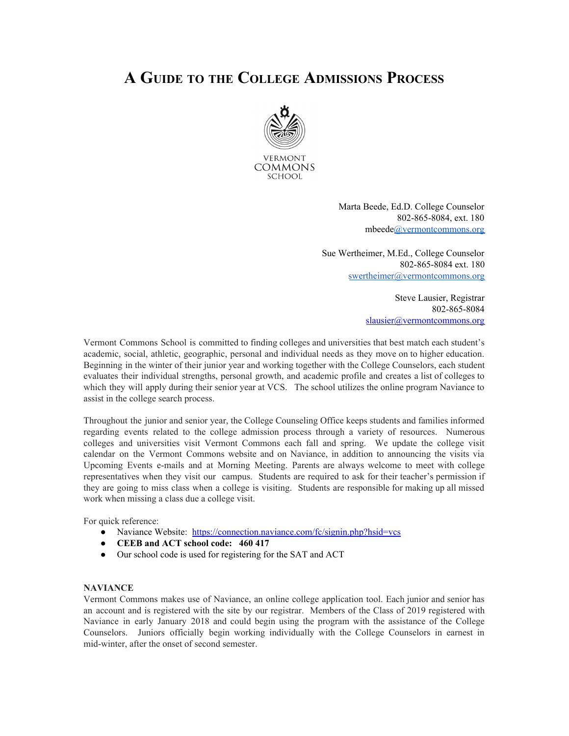# **A GUIDE TO THE COLLEGE ADMISSIONS PROCESS**



Marta Beede, Ed.D. College Counselor 802-865-8084, ext. 180 mbeede@vermontcommons.org

Sue Wertheimer, M.Ed., College Counselor 802-865-8084 ext. 180 swertheimer@vermontcommons.org

> Steve Lausier, Registrar 802-865-8084 slausier@vermontcommons.org

Vermont Commons School is committed to finding colleges and universities that best match each student's academic, social, athletic, geographic, personal and individual needs as they move on to higher education. Beginning in the winter of their junior year and working together with the College Counselors, each student evaluates their individual strengths, personal growth, and academic profile and creates a list of colleges to which they will apply during their senior year at VCS. The school utilizes the online program Naviance to assist in the college search process.

Throughout the junior and senior year, the College Counseling Office keeps students and families informed regarding events related to the college admission process through a variety of resources. Numerous colleges and universities visit Vermont Commons each fall and spring. We update the college visit calendar on the Vermont Commons website and on Naviance, in addition to announcing the visits via Upcoming Events e-mails and at Morning Meeting. Parents are always welcome to meet with college representatives when they visit our campus. Students are required to ask for their teacher's permission if they are going to miss class when a college is visiting. Students are responsible for making up all missed work when missing a class due a college visit.

For quick reference:

- Naviance Website: https://connection.naviance.com/fc/signin.php?hsid=vcs
- **CEEB and ACT school code: 460 417**
- Our school code is used for registering for the SAT and ACT

#### **NAVIANCE**

Vermont Commons makes use of Naviance, an online college application tool. Each junior and senior has an account and is registered with the site by our registrar. Members of the Class of 2019 registered with Naviance in early January 2018 and could begin using the program with the assistance of the College Counselors. Juniors officially begin working individually with the College Counselors in earnest in mid-winter, after the onset of second semester.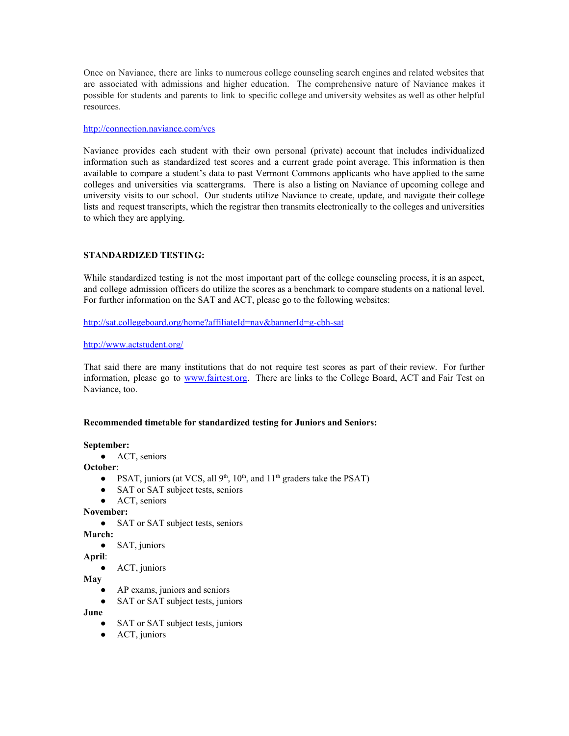Once on Naviance, there are links to numerous college counseling search engines and related websites that are associated with admissions and higher education. The comprehensive nature of Naviance makes it possible for students and parents to link to specific college and university websites as well as other helpful resources.

#### http://connection.naviance.com/vcs

Naviance provides each student with their own personal (private) account that includes individualized information such as standardized test scores and a current grade point average. This information is then available to compare a student's data to past Vermont Commons applicants who have applied to the same colleges and universities via scattergrams. There is also a listing on Naviance of upcoming college and university visits to our school. Our students utilize Naviance to create, update, and navigate their college lists and request transcripts, which the registrar then transmits electronically to the colleges and universities to which they are applying.

# **STANDARDIZED TESTING:**

While standardized testing is not the most important part of the college counseling process, it is an aspect, and college admission officers do utilize the scores as a benchmark to compare students on a national level. For further information on the SAT and ACT, please go to the following websites:

http://sat.collegeboard.org/home?affiliateId=nav&bannerId=g-cbh-sat

## http://www.actstudent.org/

That said there are many institutions that do not require test scores as part of their review. For further information, please go to www.fairtest.org. There are links to the College Board, ACT and Fair Test on Naviance, too.

## **Recommended timetable for standardized testing for Juniors and Seniors:**

## **September:**

● ACT, seniors

**October**:

- PSAT, juniors (at VCS, all  $9<sup>th</sup>$ ,  $10<sup>th</sup>$ , and  $11<sup>th</sup>$  graders take the PSAT)
- SAT or SAT subject tests, seniors
- ACT, seniors

## **November:**

• SAT or SAT subject tests, seniors

**March:**

**●** SAT, juniors

# **April**:

● ACT, juniors

**May**

- AP exams, juniors and seniors
- SAT or SAT subject tests, juniors

**June**

- SAT or SAT subject tests, juniors
- ACT, juniors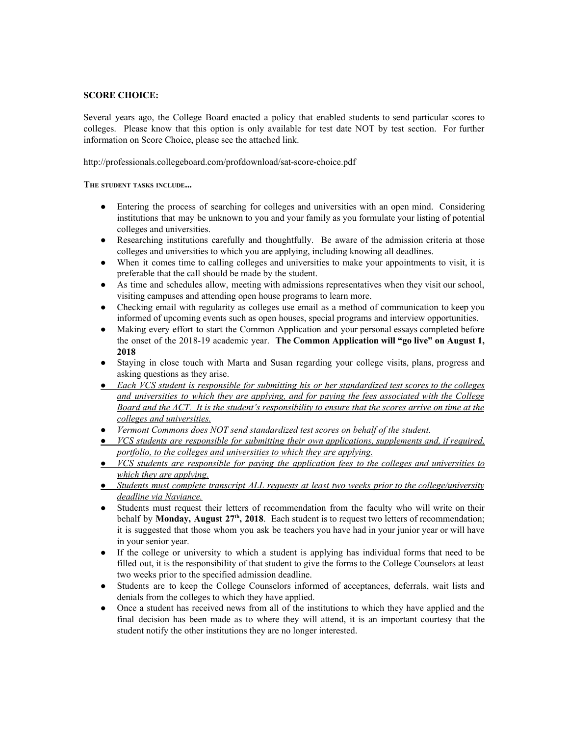# **SCORE CHOICE:**

Several years ago, the College Board enacted a policy that enabled students to send particular scores to colleges. Please know that this option is only available for test date NOT by test section. For further information on Score Choice, please see the attached link.

http://professionals.collegeboard.com/profdownload/sat-score-choice.pdf

**THE STUDENT TASKS INCLUDE...**

- Entering the process of searching for colleges and universities with an open mind. Considering institutions that may be unknown to you and your family as you formulate your listing of potential colleges and universities.
- Researching institutions carefully and thoughtfully. Be aware of the admission criteria at those colleges and universities to which you are applying, including knowing all deadlines.
- When it comes time to calling colleges and universities to make your appointments to visit, it is preferable that the call should be made by the student.
- As time and schedules allow, meeting with admissions representatives when they visit our school, visiting campuses and attending open house programs to learn more.
- Checking email with regularity as colleges use email as a method of communication to keep you informed of upcoming events such as open houses, special programs and interview opportunities.
- **●** Making every effort to start the Common Application and your personal essays completed before the onset of the 2018-19 academic year. **The Common Application will "go live" on August 1, 2018**
- Staying in close touch with Marta and Susan regarding your college visits, plans, progress and asking questions as they arise.
- *● Each VCS student is responsible for submitting his or her standardized test scores to the colleges and universities to which they are applying, and for paying the fees associated with the College* Board and the ACT. It is the student's responsibility to ensure that the scores arrive on time at the *colleges and universities.*
- *● Vermont Commons does NOT send standardized test scores on behalf of the student.*
- *● VCS students are responsible for submitting their own applications, supplements and, if required, portfolio, to the colleges and universities to which they are applying.*
- *● VCS students are responsible for paying the application fees to the colleges and universities to which they are applying.*
- *● Students must complete transcript ALL requests at least two weeks prior to the college/university deadline via Naviance.*
- Students must request their letters of recommendation from the faculty who will write on their behalf by **Monday, August 27 th , 2018**. Each student is to request two letters of recommendation; it is suggested that those whom you ask be teachers you have had in your junior year or will have in your senior year.
- If the college or university to which a student is applying has individual forms that need to be filled out, it is the responsibility of that student to give the forms to the College Counselors at least two weeks prior to the specified admission deadline.
- Students are to keep the College Counselors informed of acceptances, deferrals, wait lists and denials from the colleges to which they have applied.
- Once a student has received news from all of the institutions to which they have applied and the final decision has been made as to where they will attend, it is an important courtesy that the student notify the other institutions they are no longer interested.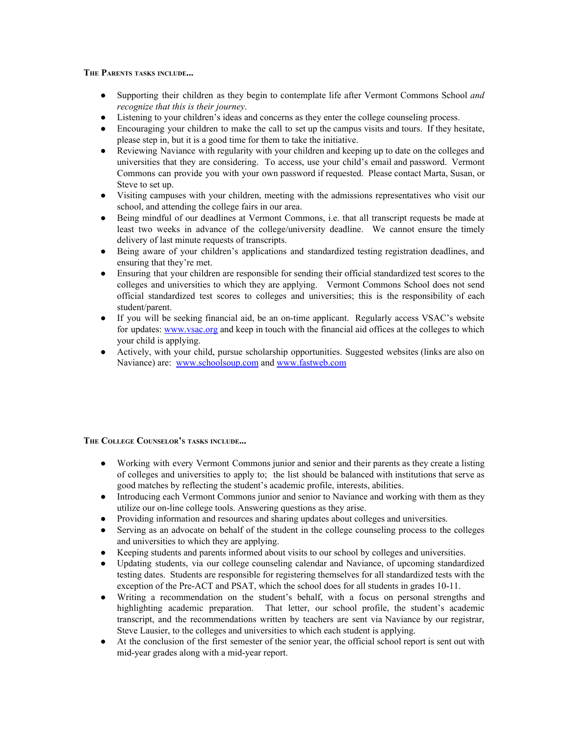**THE PARENTS TASKS INCLUDE...**

- Supporting their children as they begin to contemplate life after Vermont Commons School *and recognize that this is their journey*.
- Listening to your children's ideas and concerns as they enter the college counseling process.
- Encouraging your children to make the call to set up the campus visits and tours. If they hesitate, please step in, but it is a good time for them to take the initiative.
- Reviewing Naviance with regularity with your children and keeping up to date on the colleges and universities that they are considering. To access, use your child's email and password. Vermont Commons can provide you with your own password if requested. Please contact Marta, Susan, or Steve to set up.
- Visiting campuses with your children, meeting with the admissions representatives who visit our school, and attending the college fairs in our area.
- Being mindful of our deadlines at Vermont Commons, i.e. that all transcript requests be made at least two weeks in advance of the college/university deadline. We cannot ensure the timely delivery of last minute requests of transcripts.
- Being aware of your children's applications and standardized testing registration deadlines, and ensuring that they're met.
- Ensuring that your children are responsible for sending their official standardized test scores to the colleges and universities to which they are applying. Vermont Commons School does not send official standardized test scores to colleges and universities; this is the responsibility of each student/parent.
- If you will be seeking financial aid, be an on-time applicant. Regularly access VSAC's website for updates: www.vsac.org and keep in touch with the financial aid offices at the colleges to which your child is applying.
- Actively, with your child, pursue scholarship opportunities. Suggested websites (links are also on Naviance) are: www.schoolsoup.com and www.fastweb.com

**THE COLLEGE COUNSELOR'<sup>S</sup> TASKS INCLUDE...**

- Working with every Vermont Commons junior and senior and their parents as they create a listing of colleges and universities to apply to; the list should be balanced with institutions that serve as good matches by reflecting the student's academic profile, interests, abilities.
- Introducing each Vermont Commons junior and senior to Naviance and working with them as they utilize our on-line college tools. Answering questions as they arise.
- Providing information and resources and sharing updates about colleges and universities.
- Serving as an advocate on behalf of the student in the college counseling process to the colleges and universities to which they are applying.
- Keeping students and parents informed about visits to our school by colleges and universities.
- Updating students, via our college counseling calendar and Naviance, of upcoming standardized testing dates. Students are responsible for registering themselves for all standardized tests with the exception of the Pre-ACT and PSAT, which the school does for all students in grades 10-11.
- Writing a recommendation on the student's behalf, with a focus on personal strengths and highlighting academic preparation. That letter, our school profile, the student's academic transcript, and the recommendations written by teachers are sent via Naviance by our registrar, Steve Lausier, to the colleges and universities to which each student is applying.
- At the conclusion of the first semester of the senior year, the official school report is sent out with mid-year grades along with a mid-year report.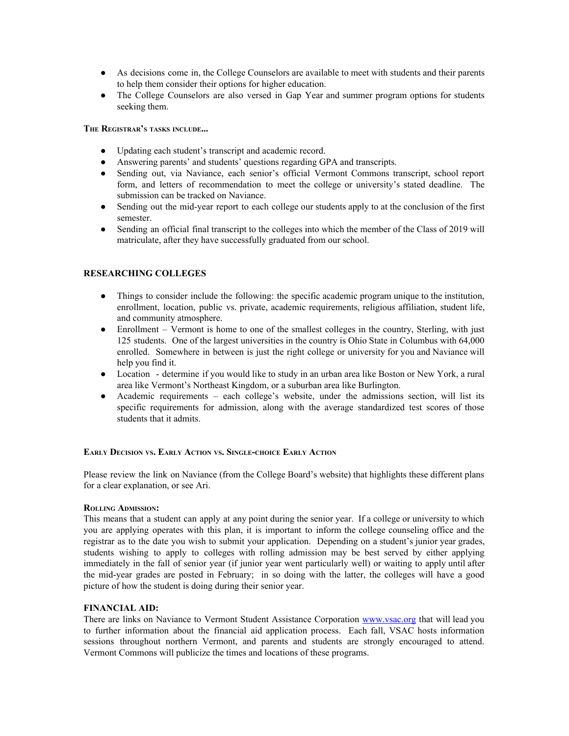- As decisions come in, the College Counselors are available to meet with students and their parents to help them consider their options for higher education.
- The College Counselors are also versed in Gap Year and summer program options for students seeking them.

**THE REGISTRAR'<sup>S</sup> TASKS INCLUDE...**

- **●** Updating each student's transcript and academic record.
- **●** Answering parents' and students' questions regarding GPA and transcripts.
- **●** Sending out, via Naviance, each senior's official Vermont Commons transcript, school report form, and letters of recommendation to meet the college or university's stated deadline. The submission can be tracked on Naviance.
- **●** Sending out the mid-year report to each college our students apply to at the conclusion of the first semester.
- **●** Sending an official final transcript to the colleges into which the member of the Class of 2019 will matriculate, after they have successfully graduated from our school.

## **RESEARCHING COLLEGES**

- Things to consider include the following: the specific academic program unique to the institution, enrollment, location, public vs. private, academic requirements, religious affiliation, student life, and community atmosphere.
- Enrollment Vermont is home to one of the smallest colleges in the country, Sterling, with just 125 students. One of the largest universities in the country is Ohio State in Columbus with 64,000 enrolled. Somewhere in between is just the right college or university for you and Naviance will help you find it.
- Location determine if you would like to study in an urban area like Boston or New York, a rural area like Vermont's Northeast Kingdom, or a suburban area like Burlington.
- Academic requirements each college's website, under the admissions section, will list its specific requirements for admission, along with the average standardized test scores of those students that it admits.

## **EARLY DECISION VS. EARLY ACTION VS. SINGLE-CHOICE EARLY ACTION**

Please review the link on Naviance (from the College Board's website) that highlights these different plans for a clear explanation, or see Ari.

#### **ROLLING ADMISSION:**

This means that a student can apply at any point during the senior year. If a college or university to which you are applying operates with this plan, it is important to inform the college counseling office and the registrar as to the date you wish to submit your application. Depending on a student's junior year grades, students wishing to apply to colleges with rolling admission may be best served by either applying immediately in the fall of senior year (if junior year went particularly well) or waiting to apply until after the mid-year grades are posted in February; in so doing with the latter, the colleges will have a good picture of how the student is doing during their senior year.

## **FINANCIAL AID:**

There are links on Naviance to Vermont Student Assistance Corporation www.vsac.org that will lead you to further information about the financial aid application process. Each fall, VSAC hosts information sessions throughout northern Vermont, and parents and students are strongly encouraged to attend. Vermont Commons will publicize the times and locations of these programs.